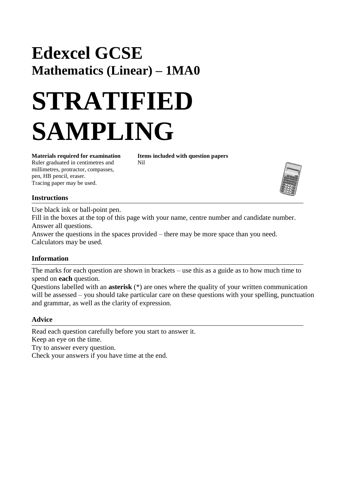# **Edexcel GCSE Mathematics (Linear) – 1MA0**

# **STRATIFIED SAMPLING**

Ruler graduated in centimetres and Nil millimetres, protractor, compasses, pen, HB pencil, eraser. Tracing paper may be used.

**Materials required for examination Items included with question papers**



#### **Instructions**

Use black ink or ball-point pen.

Fill in the boxes at the top of this page with your name, centre number and candidate number. Answer all questions.

Answer the questions in the spaces provided – there may be more space than you need. Calculators may be used.

#### **Information**

The marks for each question are shown in brackets – use this as a guide as to how much time to spend on **each** question.

Questions labelled with an **asterisk** (\*) are ones where the quality of your written communication will be assessed – you should take particular care on these questions with your spelling, punctuation and grammar, as well as the clarity of expression.

#### **Advice**

Read each question carefully before you start to answer it. Keep an eye on the time. Try to answer every question. Check your answers if you have time at the end.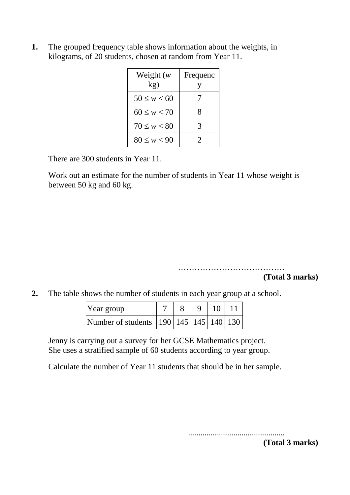**1.** The grouped frequency table shows information about the weights, in kilograms, of 20 students, chosen at random from Year 11.

| Weight $(w)$<br>kg) | Frequenc |
|---------------------|----------|
| $50 \leq w < 60$    |          |
| $60 \leq w < 70$    | x        |
| $70 \leq w < 80$    | 3        |
| $80 \leq w < 90$    |          |

There are 300 students in Year 11.

Work out an estimate for the number of students in Year 11 whose weight is between 50 kg and 60 kg.

> ………………………………… **(Total 3 marks)**

**2.** The table shows the number of students in each year group at a school.

| Year group                                       |  | $9 \mid 10 \mid 11$ |  |
|--------------------------------------------------|--|---------------------|--|
| Number of students   190   145   145   140   130 |  |                     |  |

Jenny is carrying out a survey for her GCSE Mathematics project. She uses a stratified sample of 60 students according to year group.

Calculate the number of Year 11 students that should be in her sample.

............................................... **(Total 3 marks)**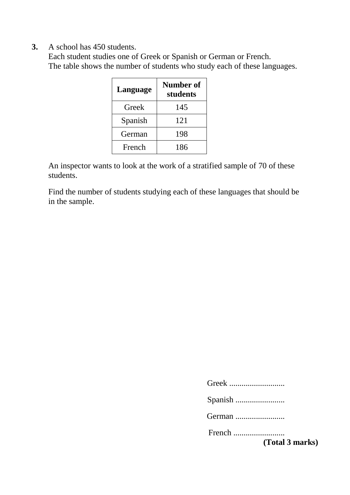**3.** A school has 450 students.

Each student studies one of Greek or Spanish or German or French. The table shows the number of students who study each of these languages.

| Language | <b>Number of</b><br>students |
|----------|------------------------------|
| Greek    | 145                          |
| Spanish  | 121                          |
| German   | 198                          |
| French   | 186                          |

An inspector wants to look at the work of a stratified sample of 70 of these students.

Find the number of students studying each of these languages that should be in the sample.

Greek ...........................

Spanish ........................

German .........................

French .........................

**(Total 3 marks)**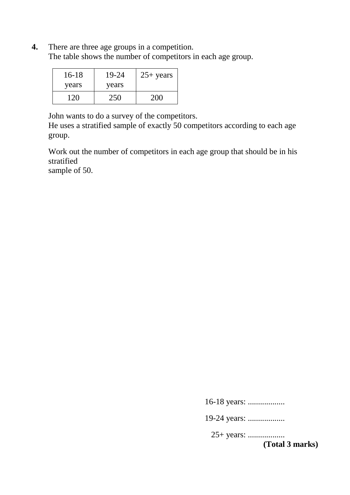**4.** There are three age groups in a competition. The table shows the number of competitors in each age group.

| $16-18$ | 19-24 | $25+ years$ |
|---------|-------|-------------|
| years   | years |             |
| 120     | 250   | 200         |

John wants to do a survey of the competitors.

He uses a stratified sample of exactly 50 competitors according to each age group.

Work out the number of competitors in each age group that should be in his stratified

sample of 50.

16-18 years: ..................

19-24 years: ...................

25+ years: ..................

**(Total 3 marks)**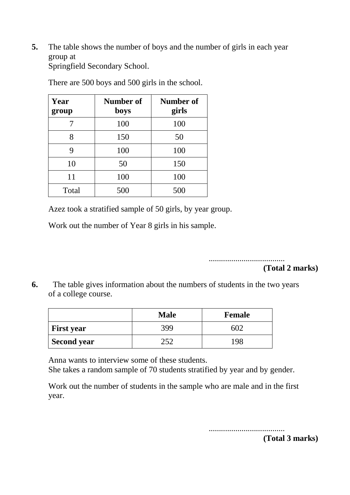**5.** The table shows the number of boys and the number of girls in each year group at

Springfield Secondary School.

| Year<br>group | Number of<br>boys | Number of<br>girls |
|---------------|-------------------|--------------------|
|               | 100               | 100                |
| 8             | 150               | 50                 |
| 9             | 100               | 100                |
| 10            | 50                | 150                |
| 11            | 100               | 100                |
| Total         | 500               | 500                |

There are 500 boys and 500 girls in the school.

Azez took a stratified sample of 50 girls, by year group.

Work out the number of Year 8 girls in his sample.

..................................... **(Total 2 marks)**

**6.** The table gives information about the numbers of students in the two years of a college course.

|                    | <b>Male</b> | <b>Female</b> |
|--------------------|-------------|---------------|
| <b>First year</b>  | 399         |               |
| <b>Second year</b> | つくつ         | 198           |

Anna wants to interview some of these students.

She takes a random sample of 70 students stratified by year and by gender.

Work out the number of students in the sample who are male and in the first year.

.....................................

**(Total 3 marks)**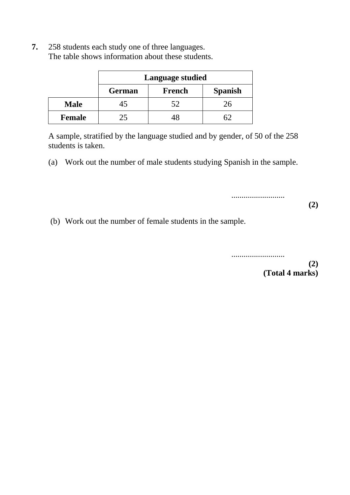|               | <b>Language studied</b>                   |    |    |  |  |
|---------------|-------------------------------------------|----|----|--|--|
|               | <b>Spanish</b><br><b>French</b><br>German |    |    |  |  |
| <b>Male</b>   | 45                                        | 52 | 26 |  |  |
| <b>Female</b> | 25                                        |    | √ר |  |  |

**7.** 258 students each study one of three languages. The table shows information about these students.

A sample, stratified by the language studied and by gender, of 50 of the 258 students is taken.

(a) Work out the number of male students studying Spanish in the sample.

**(2)**

(b) Work out the number of female students in the sample.

..........................

..........................

**(2) (Total 4 marks)**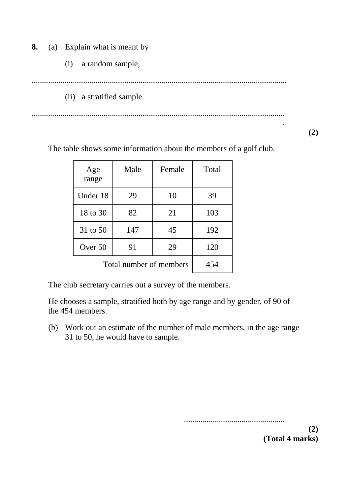**8.** (a) Explain what is meant by

(i) a random sample,

............................................................................................................................

(ii) a stratified sample.

........................................................................................................................... .

**(2)**

The table shows some information about the members of a golf club.

| Age<br>range            | Male | Female | Total |
|-------------------------|------|--------|-------|
| Under 18                | 29   | 10     | 39    |
| 18 to 30                | 82   | 21     | 103   |
| 31 to 50                | 147  | 45     | 192   |
| Over 50                 | 91   | 29     | 120   |
| Total number of members | 454  |        |       |

The club secretary carries out a survey of the members.

He chooses a sample, stratified both by age range and by gender, of 90 of the 454 members.

(b) Work out an estimate of the number of male members, in the age range 31 to 50, he would have to sample.

.................................................

**(2) (Total 4 marks)**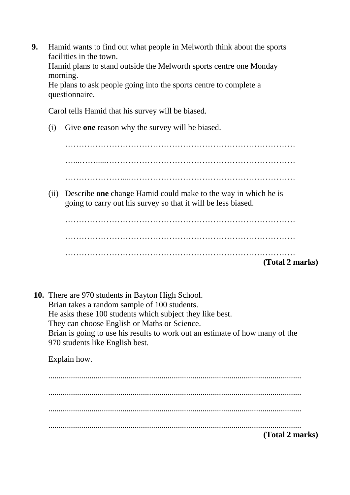**9.** Hamid wants to find out what people in Melworth think about the sports facilities in the town.

Hamid plans to stand outside the Melworth sports centre one Monday morning.

He plans to ask people going into the sports centre to complete a questionnaire.

Carol tells Hamid that his survey will be biased.

(i) Give **one** reason why the survey will be biased.

………………………………………………………………………… …...…….....…………………………………………………………… …………………....……………………………………………………

(ii) Describe **one** change Hamid could make to the way in which he is going to carry out his survey so that it will be less biased.

| (Total 2 marks) |
|-----------------|
|                 |
|                 |
|                 |

**10.** There are 970 students in Bayton High School. Brian takes a random sample of 100 students. He asks these 100 students which subject they like best. They can choose English or Maths or Science. Brian is going to use his results to work out an estimate of how many of the 970 students like English best.

Explain how.

........................................................................................................................... ........................................................................................................................... ........................................................................................................................... ........................................................................................................................... **(Total 2 marks)**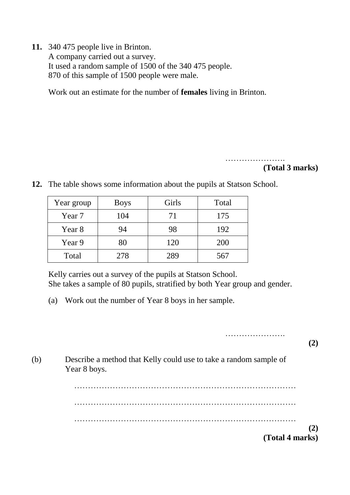**11.** 340 475 people live in Brinton. A company carried out a survey. It used a random sample of 1500 of the 340 475 people. 870 of this sample of 1500 people were male.

Work out an estimate for the number of **females** living in Brinton.

………………….

## **(Total 3 marks)**

- Year group | Boys | Girls | Total Year 7 104 71 175 Year 8 94 98 192 Year 9  $80$  120  $200$ Total 278 289 567
- **12.** The table shows some information about the pupils at Statson School.

Kelly carries out a survey of the pupils at Statson School. She takes a sample of 80 pupils, stratified by both Year group and gender.

(a) Work out the number of Year 8 boys in her sample.

………………….

**(2)**

(b) Describe a method that Kelly could use to take a random sample of Year 8 boys.

> ……………………………………………………………………… ……………………………………………………………………… **(2) (Total 4 marks)**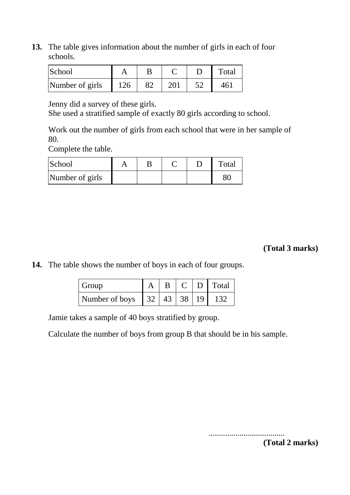**13.** The table gives information about the number of girls in each of four schools.

| School          |     |                 | Total |
|-----------------|-----|-----------------|-------|
| Number of girls | 126 | 20 <sub>1</sub> | 461   |

Jenny did a survey of these girls.

She used a stratified sample of exactly 80 girls according to school.

Work out the number of girls from each school that were in her sample of 80.

Complete the table.

| School          |  |  | Total |
|-----------------|--|--|-------|
| Number of girls |  |  |       |

**(Total 3 marks)**

**14.** The table shows the number of boys in each of four groups.

| Group                                                                  |  |  | $\mid C \mid D \mid \text{Total}$ |
|------------------------------------------------------------------------|--|--|-----------------------------------|
| Number of boys $\begin{bmatrix} 32 & 43 & 38 & 19 & 132 \end{bmatrix}$ |  |  |                                   |

Jamie takes a sample of 40 boys stratified by group.

Calculate the number of boys from group B that should be in his sample.

..................................... **(Total 2 marks)**